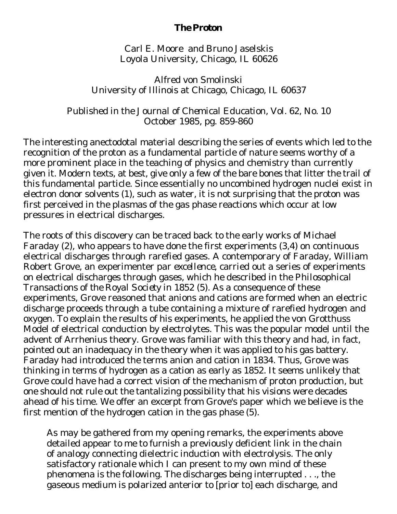## **The Proton**

Carl E. Moore and Bruno Jaselskis Loyola University, Chicago, IL 60626

Alfred von Smolinski University of Illinois at Chicago, Chicago, IL 60637

Published in the *Journal of Chemical Education*, Vol. 62, No. 10 October 1985, pg. 859-860

The interesting anectodotal material describing the series of events which led to the recognition of the proton as a fundamental particle of nature seems worthy of a more prominent place in the teaching of physics and chemistry than currently given it. Modern texts, at best, give only a few of the bare bones that litter the trail of this fundamental particle. Since essentially no uncombined hydrogen nuclei exist in electron donor solvents (1), such as water, it is not surprising that the proton was first perceived in the plasmas of the gas phase reactions which occur at low pressures in electrical discharges.

The roots of this discovery can be traced back to the early works of Michael Faraday (2), who appears to have done the first experiments (3,4) on continuous electrical discharges through rarefied gases. A contemporary of Faraday, William Robert Grove, an experimenter *par excellence*, carried out a series of experiments on electrical discharges through gases, which he described in the *Philosophical Transactions of the Royal Society* in 1852 (5). As a consequence of these experiments, Grove reasoned that anions and cations are formed when an electric discharge proceeds through a tube containing a mixture of rarefied hydrogen and oxygen. To explain the results of his experiments, he applied the von Grotthuss Model of electrical conduction by electrolytes. This was the popular model until the advent of Arrhenius theory. Grove was familiar with this theory and had, in fact, pointed out an inadequacy in the theory when it was applied to his gas battery. Faraday had introduced the terms anion and cation in 1834. Thus, Grove was thinking in terms of hydrogen as a cation as early as 1852. It seems unlikely that Grove could have had a correct vision of the mechanism of proton production, but one should not rule out the tantalizing possibility that his visions were decades ahead of his time. We offer an excerpt from Grove's paper which we believe is the first mention of the hydrogen cation in the gas phase (5).

As may be gathered from my opening remarks, the experiments above detailed appear to me to furnish a previously deficient link in the chain of analogy connecting dielectric induction with electrolysis. The only satisfactory rationale which I can present to my own mind of these phenomena is the following. The discharges being interrupted . . ., the gaseous medium is polarized anterior to [prior to] each discharge, and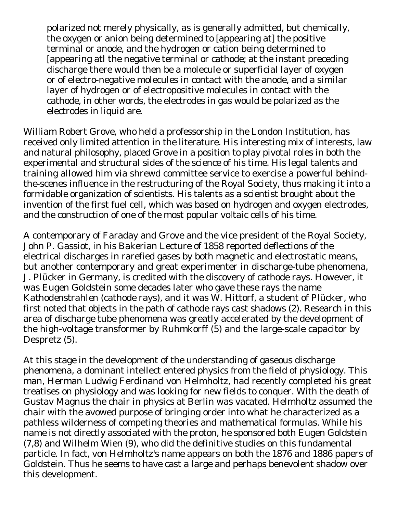polarized not merely physically, as is generally admitted, but chemically, the oxygen or anion being determined to [appearing at] the positive terminal or anode, and the hydrogen or cation being determined to [appearing atl the negative terminal or cathode; at the instant preceding discharge there would then be a molecule or superficial layer of oxygen or of electro-negative molecules in contact with the anode, and a similar layer of hydrogen or of electropositive molecules in contact with the cathode, in other words, the electrodes in gas would be polarized as the electrodes in liquid are.

William Robert Grove, who held a professorship in the London Institution, has received only limited attention in the literature. His interesting mix of interests, law and natural philosophy, placed Grove in a position to play pivotal roles in both the experimental and structural sides of the science of his time. His legal talents and training allowed him via shrewd committee service to exercise a powerful behindthe-scenes influence in the restructuring of the Royal Society, thus making it into a formidable organization of scientists. His talents as a scientist brought about the invention of the first fuel cell, which was based on hydrogen and oxygen electrodes, and the construction of one of the most popular voltaic cells of his time.

A contemporary of Faraday and Grove and the vice president of the Royal Society, John P. Gassiot, in his Bakerian Lecture of 1858 reported deflections of the electrical discharges in rarefied gases by both magnetic and electrostatic means, but another contemporary and great experimenter in discharge-tube phenomena, J. Plücker in Germany, is credited with the discovery of cathode rays. However, it was Eugen Goldstein some decades later who gave these rays the name *Kathodenstrahlen* (cathode rays), and it was W. Hittorf, a student of Plücker, who first noted that objects in the path of cathode rays cast shadows (2). Research in this area of discharge tube phenomena was greatly accelerated by the development of the high-voltage transformer by Ruhmkorff (5) and the large-scale capacitor by Despretz (5).

At this stage in the development of the understanding of gaseous discharge phenomena, a dominant intellect entered physics from the field of physiology. This man, Herman Ludwig Ferdinand von Helmholtz, had recently completed his great treatises on physiology and was looking for new fields to conquer. With the death of Gustav Magnus the chair in physics at Berlin was vacated. Helmholtz assumed the chair with the avowed purpose of bringing order into what he characterized as a pathless wilderness of competing theories and mathematical formulas. While his name is not directly associated with the proton, he sponsored both Eugen Goldstein (7,8) and Wilhelm Wien (9), who did the definitive studies on this fundamental particle. In fact, von Helmholtz's name appears on both the 1876 and 1886 papers of Goldstein. Thus he seems to have cast a large and perhaps benevolent shadow over this development.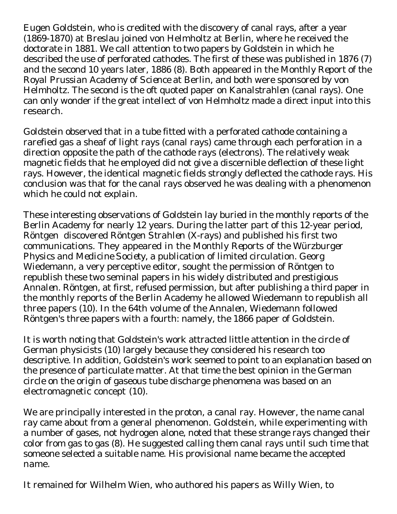Eugen Goldstein, who is credited with the discovery of canal rays, after a year (1869-1870) at Breslau joined von Helmholtz at Berlin, where he received the doctorate in 1881. We call attention to two papers by Goldstein in which he described the use of perforated cathodes. The first of these was published in 1876 (7) and the second 10 years later, 1886 (8). Both appeared in the *Monthly Report of the Royal Prussian Academy of Science* at Berlin, and both were sponsored by von Helmholtz. The second is the oft quoted paper on *Kanalstrahlen* (canal rays). One can only wonder if the great intellect of von Helmholtz made a direct input into this research.

Goldstein observed that in a tube fitted with a perforated cathode containing a rarefied gas a sheaf of light rays (canal rays) came through each perforation in a direction opposite the path of the cathode rays (electrons). The relatively weak magnetic fields that he employed did not give a discernible deflection of these light rays. However, the identical magnetic fields strongly deflected the cathode rays. His conclusion was that for the canal rays observed he was dealing with a phenomenon which he could not explain.

These interesting observations of Goldstein lay buried in the monthly reports of the Berlin Academy for nearly 12 years. During the latter part of this 12-year period, Röntgen discovered Röntgen *Strahlen* (X-rays) and published his first two communications. They appeared in the *Monthly Reports of the Würzburger Physics and Medicine Society*, a publication of limited circulation. Georg Wiedemann, a very perceptive editor, sought the permission of Röntgen to republish these two seminal papers in his widely distributed and prestigious *Annalen*. Röntgen, at first, refused permission, but after publishing a third paper in the monthly reports of the Berlin Academy he allowed Wiedemann to republish all three papers (10). In the 64th volume of the *Annalen*, Wiedemann followed Röntgen's three papers with a fourth: namely, the 1866 paper of Goldstein.

It is worth noting that Goldstein's work attracted little attention in the circle of German physicists (10) largely because they considered his research too descriptive. In addition, Goldstein's work seemed to point to an explanation based on the presence of particulate matter. At that time the best opinion in the German circle on the origin of gaseous tube discharge phenomena was based on an electromagnetic concept (10).

We are principally interested in the proton, a canal ray. However, the name *canal ray* came about from a general phenomenon. Goldstein, while experimenting with a number of gases, not hydrogen alone, noted that these strange rays changed their color from gas to gas (8). He suggested calling them canal rays until such time that someone selected a suitable name. His provisional name became the accepted name.

It remained for Wilhelm Wien, who authored his papers as Willy Wien, to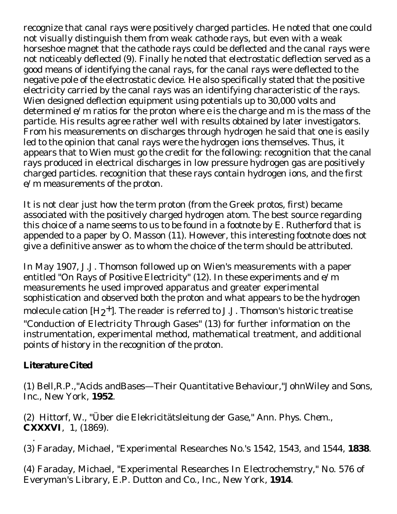recognize that canal rays were positively charged particles. He noted that one could not visually distinguish them from weak cathode rays, but even with a weak horseshoe magnet that the cathode rays could be deflected and the canal rays were not noticeably deflected (9). Finally he noted that electrostatic deflection served as a good means of identifying the canal rays, for the canal rays were deflected to the negative pole of the electrostatic device. He also specifically stated that the positive electricity carried by the canal rays was an identifying characteristic of the rays. Wien designed deflection equipment using potentials up to 30,000 volts and determined *e/m* ratios for the proton where *e* is the charge and *m* is the mass of the particle. His results agree rather well with results obtained by later investigators. From his measurements on discharges through hydrogen he said that one is easily led to the opinion that canal rays were the hydrogen ions themselves. Thus, it appears that to Wien must go the credit for the following: recognition that the canal rays produced in electrical discharges in low pressure hydrogen gas are positively charged particles. recognition that these rays contain hydrogen ions, and the first *e/m* measurements of the proton.

It is not clear just how the term proton (from the Greek *protos*, first) became associated with the positively charged hydrogen atom. The best source regarding this choice of a name seems to us to be found in a footnote by E. Rutherford that is appended to a paper by O. Masson (11). However, this interesting footnote does not give a definitive answer as to whom the choice of the term should be attributed.

In May 1907, J.J. Thomson followed up on Wien's measurements with a paper entitled "On Rays of Positive Electricity" (12). In these experiments and *e/m* measurements he used improved apparatus and greater experimental sophistication and observed both the proton and what appears to be the hydrogen molecule cation  $[H2^+]$ . The reader is referred to J.J. Thomson's historic treatise "Conduction of Electricity Through Gases" (13) for further information on the instrumentation, experimental method, mathematical treatment, and additional points of history in the recognition of the proton.

## **Literature Cited**

(1) Bell,R.P.,"Acids andBases—Their Quantitative Behaviour,"JohnWiley and Sons, Inc., New York, **1952**.

(2) Hittorf, W., "Über die Elekricitätsleitung der Gase," *Ann. Phys. Chem.*, **CXXXVI**, 1, (1869).

 . (3) Faraday, Michael, "Experimental Researches No.'s 1542, 1543, and 1544, **1838**.

(4) Faraday, Michael, "Experimental Researches In Electrochemstry," No. 576 of Everyman's Library, E.P. Dutton and Co., Inc., New York, **1914**.